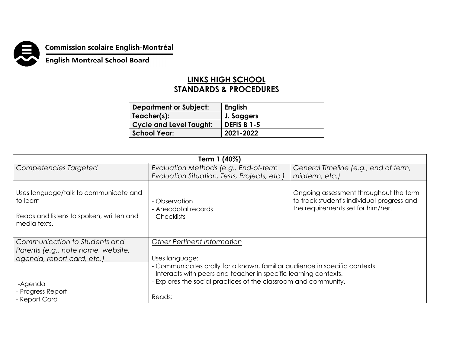

**Commission scolaire English-Montréal<br>English Montreal School Board** 

## **LINKS HIGH SCHOOL STANDARDS & PROCEDURES**

| <b>Department or Subject:</b>  | <b>English</b>     |
|--------------------------------|--------------------|
| Teacher(s):                    | J. Saggers         |
| <b>Cycle and Level Taught:</b> | <b>DEFIS B 1-5</b> |
| <b>School Year:</b>            | 2021-2022          |

| Term 1 (40%)                                                                                                  |                                                                                                                                                                                                                                                |                                                                                                                           |  |  |
|---------------------------------------------------------------------------------------------------------------|------------------------------------------------------------------------------------------------------------------------------------------------------------------------------------------------------------------------------------------------|---------------------------------------------------------------------------------------------------------------------------|--|--|
| Competencies Targeted                                                                                         | Evaluation Methods (e.g., End-of-term                                                                                                                                                                                                          | General Timeline (e.g., end of term,                                                                                      |  |  |
|                                                                                                               | Evaluation Situation, Tests, Projects, etc.)                                                                                                                                                                                                   | midterm, etc.)                                                                                                            |  |  |
| Uses language/talk to communicate and<br>to learn<br>Reads and listens to spoken, written and<br>media texts. | - Observation<br>- Anecdotal records<br>- Checklists                                                                                                                                                                                           | Ongoing assessment throughout the term<br>to track student's individual progress and<br>the requirements set for him/her. |  |  |
| Communication to Students and                                                                                 | <b>Other Pertinent Information</b>                                                                                                                                                                                                             |                                                                                                                           |  |  |
| Parents (e.g., note home, website,<br>agenda, report card, etc.)                                              | Uses language:<br>- Communicates orally for a known, familiar audience in specific contexts.<br>- Interacts with peers and teacher in specific learning contexts.<br>- Explores the social practices of the classroom and community.<br>Reads: |                                                                                                                           |  |  |
| -Agenda<br>- Progress Report<br>- Report Card                                                                 |                                                                                                                                                                                                                                                |                                                                                                                           |  |  |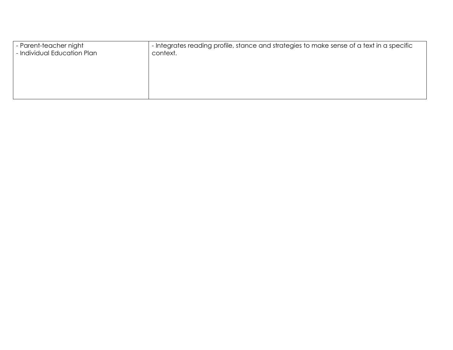| I - Parent-teacher night<br>- Individual Education Plan | - Integrates reading profile, stance and strategies to make sense of a text in a specific<br>context. |  |
|---------------------------------------------------------|-------------------------------------------------------------------------------------------------------|--|
|                                                         |                                                                                                       |  |
|                                                         |                                                                                                       |  |
|                                                         |                                                                                                       |  |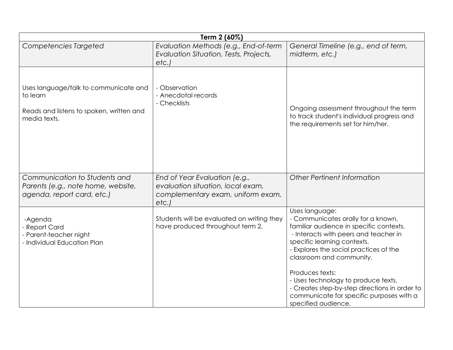| Term 2 (60%)                                                                                                  |                                                                                                                 |                                                                                                                                                                                                                                                                                                                                                                                                                             |
|---------------------------------------------------------------------------------------------------------------|-----------------------------------------------------------------------------------------------------------------|-----------------------------------------------------------------------------------------------------------------------------------------------------------------------------------------------------------------------------------------------------------------------------------------------------------------------------------------------------------------------------------------------------------------------------|
| Competencies Targeted                                                                                         | Evaluation Methods (e.g., End-of-term<br>Evaluation Situation, Tests, Projects,<br>etc.                         | General Timeline (e.g., end of term,<br>midterm, etc.)                                                                                                                                                                                                                                                                                                                                                                      |
| Uses language/talk to communicate and<br>to learn<br>Reads and listens to spoken, written and<br>media texts. | - Observation<br>- Anecdotal records<br>- Checklists                                                            | Ongoing assessment throughout the term<br>to track student's individual progress and<br>the requirements set for him/her.                                                                                                                                                                                                                                                                                                   |
| Communication to Students and<br>Parents (e.g., note home, website,<br>agenda, report card, etc.)             | End of Year Evaluation (e.g.,<br>evaluation situation, local exam,<br>complementary exam, uniform exam,<br>etc. | Other Pertinent Information                                                                                                                                                                                                                                                                                                                                                                                                 |
| -Agenda<br>- Report Card<br>- Parent-teacher night<br>- Individual Education Plan                             | Students will be evaluated on writing they<br>have produced throughout term 2.                                  | Uses language:<br>- Communicates orally for a known,<br>familiar audience in specific contexts.<br>- Interacts with peers and teacher in<br>specific learning contexts.<br>- Explores the social practices of the<br>classroom and community.<br>Produces texts:<br>- Uses technology to produce texts.<br>- Creates step-by-step directions in order to<br>communicate for specific purposes with a<br>specified audience. |